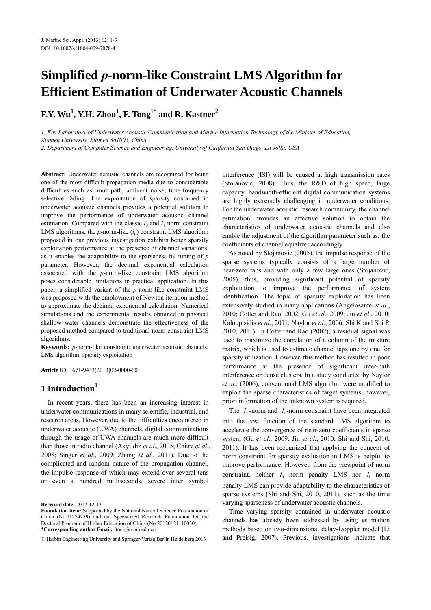# **Simplified** *p***-norm-like Constraint LMS Algorithm for Efficient Estimation of Underwater Acoustic Channels**

**F.Y. Wu1 , Y.H. Zhou1 , F. Tong1\* and R. Kastner2**

*1. Key Laboratory of Underwater Acoustic Communication and Marine Information Technology of the Minister of Education, Xiamen University, Xiamen 361005, China* 

*2. Department of Computer Science and Engineering, University of California San Diego, La Jolla, USA* 

**Abstract:** Underwater acoustic channels are recognized for being one of the most difficult propagation media due to considerable difficulties such as: multipath, ambient noise, time-frequency selective fading. The exploitation of sparsity contained in underwater acoustic channels provides a potential solution to improve the performance of underwater acoustic channel estimation. Compared with the classic  $l_0$  and  $l_1$  norm constraint LMS algorithms, the *p*-norm-like  $(l_p)$  constraint LMS algorithm proposed in our previous investigation exhibits better sparsity exploitation performance at the presence of channel variations, as it enables the adaptability to the sparseness by tuning of *p* parameter. However, the decimal exponential calculation associated with the *p*-norm-like constraint LMS algorithm poses considerable limitations in practical application. In this paper, a simplified variant of the *p*-norm-like constraint LMS was proposed with the employment of Newton iteration method to approximate the decimal exponential calculation. Numerical simulations and the experimental results obtained in physical shallow water channels demonstrate the effectiveness of the proposed method compared to traditional norm constraint LMS algorithms.

**Keywords:** *p*-norm-like constraint; underwater acoustic channels; LMS algorithm; sparsity exploitation

**Article ID:** 1671-9433(2013)02-0000-00

## **1 Introduction1**

In recent years, there has been an increasing interest in underwater communications in many scientific, industrial, and research areas. However, due to the difficulties encountered in underwater acoustic (UWA) channels, digital communications through the usage of UWA channels are much more difficult than those in radio channel (Akyildiz *et al*., 2005; Chitre *et al*., 2008; Singer *et al*., 2009; Zhang *et al*., 2011). Due to the complicated and random nature of the propagation channel, the impulse response of which may extend over several tens or even a hundred milliseconds, severe inter symbol

**Received date:** 2012-12-13.

 $\overline{a}$ 

interference (ISI) will be caused at high transmission rates (Stojanovic, 2008). Thus, the R&D of high speed, large capacity, bandwidth-efficient digital communication systems are highly extremely challenging in underwater conditions. For the underwater acoustic research community, the channel estimation provides an effective solution to obtain the characteristics of underwater acoustic channels and also enable the adjustment of the algorithm parameter such as; the coefficients of channel equalizer accordingly.

As noted by Stojanovic (2005), the impulse response of the sparse systems typically consists of a large number of near-zero taps and with only a few large ones (Stojanovic, 2005), thus, providing significant potential of sparsity exploitation to improve the performance of system identification. The topic of sparsity exploitation has been extensively studied in many applications (Angelosante *et al*., 2010; Cotter and Rao, 2002; Gu *et al*., 2009; Jin *et al*., 2010; Kalouptsidis *et al*., 2011; Naylor *et al*., 2006; Shi K and Shi P, 2010, 2011). In Cotter and Rao (2002), a residual signal was used to maximize the correlation of a column of the mixture matrix, which is used to estimate channel taps one by one for sparsity utilization. However, this method has resulted in poor performance at the presence of significant inter-path interference or dense clusters. In a study conducted by Naylor *et al*., (2006), conventional LMS algorithm were modified to exploit the sparse characteristics of target systems, however, priori information of the unknown system is required.

The  $l_0$ -norm and  $l_1$ -norm constraint have been integrated into the cost function of the standard LMS algorithm to accelerate the convergence of near-zero coefficients in sparse system (Gu *et al*., 2009; Jin *et al*., 2010; Shi and Shi, 2010, 2011). It has been recognized that applying the concept of norm constraint for sparsity evaluation in LMS is helpful to improve performance. However, from the viewpoint of norm constraint, neither  $l_0$  -norm penalty LMS nor  $l_1$  -norm penalty LMS can provide adaptability to the characteristics of sparse systems (Shi and Shi, 2010, 2011), such as the time varying sparseness of underwater acoustic channels.

Time varying sparsity contained in underwater acoustic channels has already been addressed by using estimation methods based on two-dimensional delay-Doppler model (Li and Preisig, 2007). Previous, investigations indicate that

**Foundation item:** Supported by the National Natural Science Foundation of China (No.11274259) and the Specialized Research Foundation for the Doctoral Program of Higher Education of China (No.20120121110030). **\*Corresponding author Email:** ftong@xmu.edu.cn

<sup>©</sup> Harbin Engineering University and Springer-Verlag Berlin Heidelberg 2013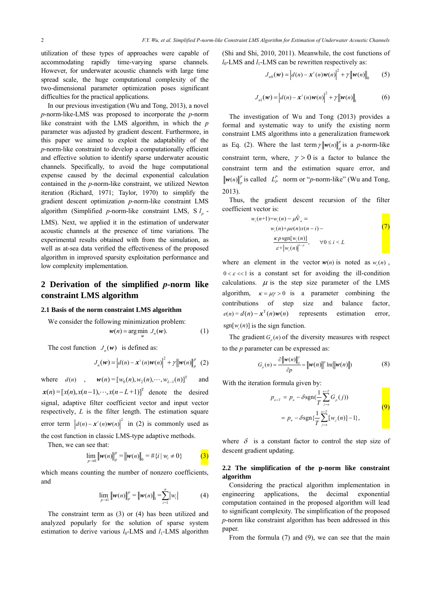utilization of these types of approaches were capable of accommodating rapidly time-varying sparse channels. However, for underwater acoustic channels with large time spread scale, the huge computational complexity of the two-dimensional parameter optimization poses significant difficulties for the practical applications.

In our previous investigation (Wu and Tong, 2013), a novel *p*-norm-like-LMS was proposed to incorporate the *p*-norm like constraint with the LMS algorithm, in which the *p* parameter was adjusted by gradient descent. Furthermore, in this paper we aimed to exploit the adaptability of the *p*-norm-like constraint to develop a computationally efficient and effective solution to identify sparse underwater acoustic channels. Specifically, to avoid the huge computational expense caused by the decimal exponential calculation contained in the *p*-norm-like constraint, we utilized Newton iteration (Richard, 1971; Taylor, 1970) to simplify the gradient descent optimization *p*-norm-like constraint LMS algorithm (Simplified *p*-norm-like constraint LMS, S  $l_n$  -

LMS). Next, we applied it in the estimation of underwater acoustic channels at the presence of time variations. The experimental results obtained with from the simulation, as well as at-sea data verified the effectiveness of the proposed algorithm in improved sparsity exploitation performance and low complexity implementation.

# **2 Derivation of the simplified** *p***-norm like constraint LMS algorithm**

#### **2.1 Basis of the norm constraint LMS algorithm**

We consider the following minimization problem:

$$
w(n) = \arg\min_{w} J_n(w). \tag{1}
$$

The cost function  $J<sub>v</sub>(w)$  is defined as:

$$
J_n(\boldsymbol{w}) = \left| d(n) - \boldsymbol{x}^{\mathrm{T}}(n) \boldsymbol{w}(n) \right|^2 + \gamma \left\| \boldsymbol{w}(n) \right\|_p^p \quad (2)
$$

where  $d(n)$ ,  $w(n) = [w_0(n), w_2(n), \dots, w_{L-1}(n)]^T$  and  $\mathbf{x}(n) = [x(n), x(n-1), \dots, x(n-L+1)]^T$  denote the desired signal, adaptive filter coefficient vector and input vector respectively, *L* is the filter length. The estimation square error term  $\left| d(n) - x^{T}(n) w(n) \right|^2$  in (2) is commonly used as the cost function in classic LMS-type adaptive methods.

Then, we can see that:

$$
\lim_{p \to 0} \|\mathbf{w}(n)\|_p^p = \|\mathbf{w}(n)\|_0 = \#\{i \mid w_i \neq 0\}
$$
 (3)

which means counting the number of nonzero coefficients, and

$$
\lim_{p \to 1} \|\mathbf{w}(n)\|_p^p = \|\mathbf{w}(n)\|_1 = \sum_{i=1}^n |w_i| \tag{4}
$$

The constraint term as (3) or (4) has been utilized and analyzed popularly for the solution of sparse system estimation to derive various  $l_0$ -LMS and  $l_1$ -LMS algorithm (Shi and Shi, 2010, 2011). Meanwhile, the cost functions of  $l_0$ -LMS and  $l_1$ -LMS can be rewritten respectively as:

$$
J_{n0}(\boldsymbol{w}) = \left| d(n) - \boldsymbol{x}^{T}(n) \boldsymbol{w}(n) \right|^2 + \gamma \left\| \boldsymbol{w}(n) \right\|_{0} \qquad (5)
$$

$$
J_{n1}(\boldsymbol{\psi}) = |d(n) - \boldsymbol{x}^{T}(n)\boldsymbol{\psi}(n)|^{2} + \gamma ||\boldsymbol{\psi}(n)||_{1}
$$
 (6)

The investigation of Wu and Tong (2013) provides a formal and systematic way to unify the existing norm constraint LMS algorithms into a generalization framework as Eq. (2). Where the last term  $\gamma ||w(n)||_p^p$  is a *p*-norm-like constraint term, where,  $\gamma > 0$  is a factor to balance the constraint term and the estimation square error, and  $w(n) \big|_p^p$  is called  $L_p^p$  norm or "*p*-norm-like" (Wu and Tong, 2013).

Thus, the gradient descent recursion of the filter coefficient vector is:

$$
w_i(n+1) = w_i(n) - \mu \hat{\nabla}_n =
$$
  
\n
$$
w_i(n) + \mu e(n) x(n-i) -
$$
  
\n
$$
\frac{\kappa p \operatorname{sgn}[w_i(n)]}{\varepsilon + |w_i(n)|^{1-p}}, \quad \forall 0 \le i < L
$$
 (7)

where an element in the vector  $w(n)$  is noted as  $w<sub>i</sub>(n)$ ,  $0 < \varepsilon \ll 1$  is a constant set for avoiding the ill-condition calculations.  $\mu$  is the step size parameter of the LMS algorithm,  $\kappa = \mu \gamma > 0$  is a parameter combining the contributions of step size and balance factor,  $e(n) = d(n) - x^{T}(n)w(n)$  represents estimation error, sgn[ $w_i(n)$ ] is the sign function.

The gradient  $G_n(n)$  of the diversity measures with respect to the *p* parameter can be expressed as:

$$
G_p(n) = \frac{\partial \left\| \mathbf{w}(n) \right\|_p}{\partial p} = \left\| \mathbf{w}(n) \right\|_p \ln(\left\| \mathbf{w}(n) \right\|)
$$
(8)

With the iteration formula given by:

$$
p_{n+T} = p_n - \delta \operatorname{sgn}(\frac{1}{T} \sum_{j=n}^{n+T} G_p(j))
$$
  
=  $p_n - \delta \operatorname{sgn}(\frac{1}{T} \sum_{j=n}^{n+T} [w_j(n)] - 1),$  (9)

where  $\delta$  is a constant factor to control the step size of descent gradient updating.

#### **2.2 The simplification of the p-norm like constraint algorithm**

Considering the practical algorithm implementation in engineering applications, the decimal exponential computation contained in the proposed algorithm will lead to significant complexity. The simplification of the proposed *p*-norm like constraint algorithm has been addressed in this paper.

From the formula (7) and (9), we can see that the main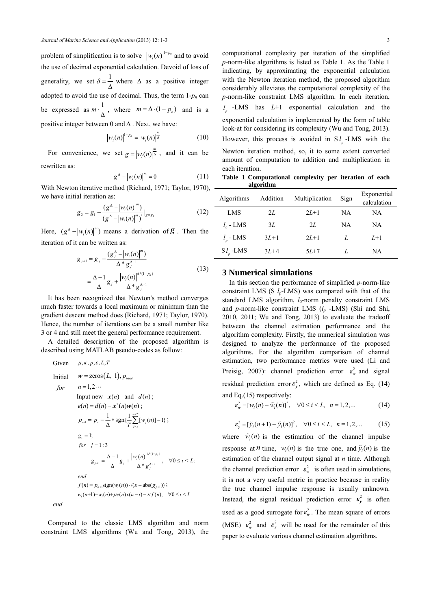problem of simplification is to solve  $\left| w_i(n) \right|^{1-p_n}$  and to avoid the use of decimal exponential calculation. Devoid of loss of generality, we set  $\delta = \frac{1}{\Delta}$  where  $\Delta$  as a positive integer adopted to avoid the use of decimal. Thus, the term  $1-p_n$  can be expressed as  $m \cdot \frac{1}{\Delta}$ , where  $m = \Delta \cdot (1 - p_n)$  and is a positive integer between 0 and  $\Delta$ . Next, we have:

$$
\left|w_i(n)\right|^{1-p_n} = \left|w_i(n)\right|^{\frac{m}{\Delta}} \tag{10}
$$

For convenience, we set  $g = |w_i(n)|^{\frac{m}{\Delta}}$ , and it can be rewritten as:

$$
g^{\Delta} - \left| w_i(n) \right|^m = 0 \tag{11}
$$

With Newton iterative method (Richard, 1971; Taylor, 1970), we have initial iteration as:

$$
g_2 = g_1 - \frac{\left(g^{\Delta} - \left|w_i(n)\right|^m\right)}{\left(g^{\Delta} - \left|w_i(n)\right|^m\right)}\big|_{g = g_1}
$$
 (12)

Here,  $(g^{\Delta} - |w_i(n)|^m)$  means a derivation of *g*. Then the iteration of it can be written as:

$$
g_{j+1} = g_j - \frac{(g_j^{\Delta} - |w_i(n)|^m)}{\Delta * g_j^{\Delta - 1}}
$$
  
= 
$$
\frac{\Delta - 1}{\Delta} g_j + \frac{|w_i(n)|^{\Delta * (1 - p_n)}}{\Delta * g_j^{\Delta - 1}}
$$
 (13)

It has been recognized that Newton's method converges much faster towards a local maximum or minimum than the gradient descent method does (Richard, 1971; Taylor, 1970). Hence, the number of iterations can be a small number like 3 or 4 and still meet the general performance requirement.

A detailed description of the proposed algorithm is described using MATLAB pseudo-codes as follow:

Given 
$$
\mu, \kappa, p, \varepsilon, L, T
$$
  
\nInitial  $\boldsymbol{w} = \text{zeros}(L, 1), p_{\text{initial}}$   
\nfor  $n = 1, 2...$   
\nInput new  $\boldsymbol{x}(n)$  and  $d(n)$ ;  
\n $e(n) = d(n) - \boldsymbol{x}^T(n)\boldsymbol{w}(n)$ ;  
\n $p_{n+1} = p_n - \frac{1}{\Delta} * \text{sgn}\{\frac{1}{T} \sum_{j=n}^{n+T} [w_j(n)] - 1\}$ ;  
\n $g_1 = 1$ ;  
\nfor  $j = 1: 3$   
\n $g_{j+1} = \frac{\Delta - 1}{\Delta} g_j + \frac{|w_i(n)|^{\Delta^*(1-p_n)}}{\Delta^* g_j^{\Delta - 1}}$ ,  $\forall 0 \le i \le L$ ;  
\nend  
\n $f(n) = p_{n+1} \text{sign}(w_i(n)) \cdot / (\varepsilon + \text{abs}(g_{j+1}))$ ;  
\n $w_i(n+1) = w_i(n) + \mu e(n) x(n-i) - \kappa f(n)$ ,  $\forall 0 \le i \le L$   
\nend

Compared to the classic LMS algorithm and norm constraint LMS algorithms (Wu and Tong, 2013), the

computational complexity per iteration of the simplified *p*-norm-like algorithms is listed as Table 1. As the Table 1 indicating, by approximating the exponential calculation with the Newton iteration method, the proposed algorithm considerably alleviates the computational complexity of the *p*-norm-like constraint LMS algorithm. In each iteration, *<sup>p</sup> l* -LMS has *L*+1 exponential calculation and the

exponential calculation is implemented by the form of table look-at for considering its complexity (Wu and Tong, 2013). However, this process is avoided in S<sub>*l*</sub> -LMS with the Newton iteration method, so, it to some extent converted amount of computation to addition and multiplication in each iteration.

**Table 1 Computational complexity per iteration of each algorithm** 

| Algorithms              | Addition | Multiplication | Sign | Exponential<br>calculation |
|-------------------------|----------|----------------|------|----------------------------|
| LMS                     | 2L       | $2L+1$         | NΑ   | NA.                        |
| $l_{0}$ - LMS           | 3L       | 2L             | NΑ   | <b>NA</b>                  |
| $l_{\circ}$ - LMS       | $3L+1$   | $2L+1$         | L    | $L+1$                      |
| $S_l$ <sub>,</sub> -LMS | $3L+4$   | $5L+7$         | L    | NA.                        |

## **3 Numerical simulations**

In this section the performance of simplified *p*-norm-like constraint LMS (S *lp*-LMS) was compared with that of the standard LMS algorithm, *l*<sub>0</sub>-norm penalty constraint LMS and *p*-norm-like constraint LMS (*lp* -LMS) (Shi and Shi, 2010, 2011; Wu and Tong, 2013) to evaluate the tradeoff between the channel estimation performance and the algorithm complexity. Firstly, the numerical simulation was designed to analyze the performance of the proposed algorithms. For the algorithm comparison of channel estimation, two performance metrics were used (Li and Preisig, 2007): channel prediction error  $\varepsilon_w^2$  and signal residual prediction error  $\varepsilon_{y}^{2}$ , which are defined as Eq. (14) and Eq.(15) respectively:

 $\varepsilon_w^2 = [w_i(n) - \tilde{w}_i(n)]^2$ ,  $\forall 0 \le i \le L$ ,  $n = 1, 2,...$  (14)

$$
\varepsilon_{y}^{2} = [\tilde{y}_{i}(n+1) - \tilde{y}_{i}(n)]^{2}, \quad \forall 0 \leq i \leq L, \quad n = 1, 2, ... \tag{15}
$$

where  $\tilde{w}_i(n)$  is the estimation of the channel impulse response at *n* time,  $w_i(n)$  is the true one, and  $\tilde{v}_i(n)$  is the estimation of the channel output signal at *n* time. Although the channel prediction error  $\varepsilon_w^2$  is often used in simulations, it is not a very useful metric in practice because in reality the true channel impulse response is usually unknown. Instead, the signal residual prediction error  $\varepsilon_y^2$  is often used as a good surrogate for  $\varepsilon_w^2$ . The mean square of errors (MSE)  $\varepsilon_w^2$  and  $\varepsilon_y^2$  will be used for the remainder of this paper to evaluate various channel estimation algorithms.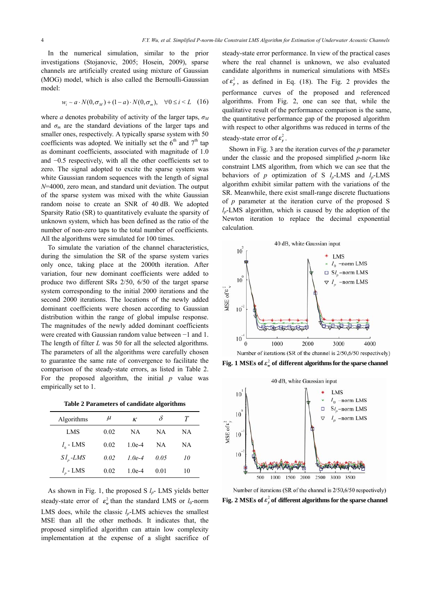In the numerical simulation, similar to the prior investigations (Stojanovic, 2005; Hosein, 2009), sparse channels are artificially created using mixture of Gaussian (MOG) model, which is also called the Bernoulli-Gaussian model:

$$
w_i \sim a \cdot N(0, \sigma_M) + (1 - a) \cdot N(0, \sigma_m), \quad \forall 0 \le i \le L \quad (16)
$$

where *a* denotes probability of activity of the larger taps,  $\sigma_M$ and  $\sigma_m$  are the standard deviations of the larger taps and smaller ones, respectively. A typically sparse system with 50 coefficients was adopted. We initially set the  $6<sup>th</sup>$  and  $7<sup>th</sup>$  tap as dominant coefficients, associated with magnitude of 1.0 and −0.5 respectively, with all the other coefficients set to zero. The signal adopted to excite the sparse system was white Gaussian random sequences with the length of signal *N*=4000, zero mean, and standard unit deviation. The output of the sparse system was mixed with the white Gaussian random noise to create an SNR of 40 dB. We adopted Sparsity Ratio (SR) to quantitatively evaluate the sparsity of unknown system, which has been defined as the ratio of the number of non-zero taps to the total number of coefficients. All the algorithms were simulated for 100 times.

To simulate the variation of the channel characteristics, during the simulation the SR of the sparse system varies only once, taking place at the 2000th iteration. After variation, four new dominant coefficients were added to produce two different SRs 2/50, 6/50 of the target sparse system corresponding to the initial 2000 iterations and the second 2000 iterations. The locations of the newly added dominant coefficients were chosen according to Gaussian distribution within the range of global impulse response. The magnitudes of the newly added dominant coefficients were created with Gaussian random value between −1 and 1. The length of filter *L* was 50 for all the selected algorithms. The parameters of all the algorithms were carefully chosen to guarantee the same rate of convergence to facilitate the comparison of the steady-state errors, as listed in Table 2. For the proposed algorithm, the initial *p* value was empirically set to 1.

**Table 2 Parameters of candidate algorithms**

| Algorithms        | $\mu$ | к        | δ    | T  |
|-------------------|-------|----------|------|----|
| LMS               | 0.02  | NA       | NA   | ΝA |
| $l_{0}$ - LMS     | 0.02  | $1.0e-4$ | NΑ   | NA |
| $S l_{p}$ -LMS    | 0.02  | $1.0e-4$ | 0.05 | 10 |
| $l_{\rm p}$ - LMS | 0.02  | $1.0e-4$ | 0.01 | 10 |

As shown in Fig. 1, the proposed S *lp*- LMS yields better steady-state error of  $\varepsilon_w^2$  than the standard LMS or  $l_0$ -norm LMS does, while the classic  $l_p$ -LMS achieves the smallest MSE than all the other methods. It indicates that, the proposed simplified algorithm can attain low complexity implementation at the expense of a slight sacrifice of

steady-state error performance. In view of the practical cases where the real channel is unknown, we also evaluated candidate algorithms in numerical simulations with MSEs of  $\varepsilon_y^2$ , as defined in Eq. (18). The Fig. 2 provides the performance curves of the proposed and referenced algorithms. From Fig. 2, one can see that, while the qualitative result of the performance comparison is the same, the quantitative performance gap of the proposed algorithm with respect to other algorithms was reduced in terms of the steady-state error of  $\varepsilon_y^2$ .

Shown in Fig. 3 are the iteration curves of the *p* parameter under the classic and the proposed simplified *p*-norm like constraint LMS algorithm, from which we can see that the behaviors of *p* optimization of S *lp*-LMS and *lp*-LMS algorithm exhibit similar pattern with the variations of the SR. Meanwhile, there exist small-range discrete fluctuations of *p* parameter at the iteration curve of the proposed S  $l_p$ -LMS algorithm, which is caused by the adoption of the Newton iteration to replace the decimal exponential calculation*.*



**Fig. 1 MSEs of**  $\varepsilon_w^2$  **of different algorithms for the sparse channel** 



Number of iterations (SR of the channel is 2/50,6/50 respectively) **Fig. 2 MSEs of**  $\varepsilon_y^2$  **of different algorithms for the sparse channel**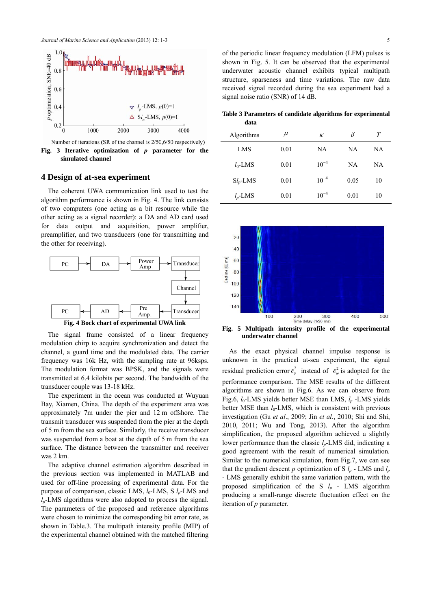

Number of iterations (SR of the channel is 2/50,6/50 respectively)

**Fig. 3 Iterative optimization of** *p* **parameter for the simulated channel**

## **4 Design of at-sea experiment**

The coherent UWA communication link used to test the algorithm performance is shown in Fig. 4. The link consists of two computers (one acting as a bit resource while the other acting as a signal recorder): a DA and AD card used for data output and acquisition, power amplifier, preamplifier, and two transducers (one for transmitting and the other for receiving).





The signal frame consisted of a linear frequency modulation chirp to acquire synchronization and detect the channel, a guard time and the modulated data. The carrier frequency was 16k Hz, with the sampling rate at 96ksps. The modulation format was BPSK, and the signals were transmitted at 6.4 kilobits per second. The bandwidth of the transducer couple was 13-18 kHz.

The experiment in the ocean was conducted at Wuyuan Bay, Xiamen, China. The depth of the experiment area was approximately 7m under the pier and 12 m offshore. The transmit transducer was suspended from the pier at the depth of 5 m from the sea surface. Similarly, the receive transducer was suspended from a boat at the depth of 5 m from the sea surface. The distance between the transmitter and receiver was 2 km.

The adaptive channel estimation algorithm described in the previous section was implemented in MATLAB and used for off-line processing of experimental data. For the purpose of comparison, classic LMS,  $l_0$ -LMS, S  $l_p$ -LMS and  $l_p$ -LMS algorithms were also adopted to process the signal. The parameters of the proposed and reference algorithms were chosen to minimize the corresponding bit error rate, as shown in Table.3. The multipath intensity profile (MIP) of the experimental channel obtained with the matched filtering

of the periodic linear frequency modulation (LFM) pulses is shown in Fig. 5. It can be observed that the experimental underwater acoustic channel exhibits typical multipath structure, sparseness and time variations. The raw data received signal recorded during the sea experiment had a signal noise ratio (SNR) of 14 dB.

**Table 3 Parameters of candidate algorithms for experimental data** 

| .           |       |           |           |    |  |
|-------------|-------|-----------|-----------|----|--|
| Algorithms  | $\mu$ | к         | δ         | Т  |  |
| LMS         | 0.01  | NA.       | NA.       | NA |  |
| $l_0$ -LMS  | 0.01  | $10^{-4}$ | <b>NA</b> | NA |  |
| $Sl_p$ -LMS | 0.01  | $10^{-4}$ | 0.05      | 10 |  |
| $l_p$ -LMS  | 0.01  | $10^{-4}$ | 0.01      | 10 |  |



**Fig. 5 Multipath intensity profile of the experimental underwater channel** 

As the exact physical channel impulse response is unknown in the practical at-sea experiment, the signal residual prediction error  $\varepsilon_y^2$  instead of  $\varepsilon_w^2$  is adopted for the performance comparison. The MSE results of the different algorithms are shown in Fig.6. As we can observe from Fig.6, *l*<sub>0</sub>-LMS yields better MSE than LMS, *l<sub>p</sub>* -LMS yields better MSE than *l*<sub>0</sub>-LMS, which is consistent with previous investigation (Gu *et al*., 2009; Jin *et al*., 2010; Shi and Shi, 2010, 2011; Wu and Tong, 2013). After the algorithm simplification, the proposed algorithm achieved a slightly lower performance than the classic  $l_p$ -LMS did, indicating a good agreement with the result of numerical simulation. Similar to the numerical simulation, from Fig.7, we can see that the gradient descent p optimization of S  $l_p$  - LMS and  $l_p$ - LMS generally exhibit the same variation pattern, with the proposed simplification of the S *lp* - LMS algorithm producing a small-range discrete fluctuation effect on the iteration of *p* parameter*.*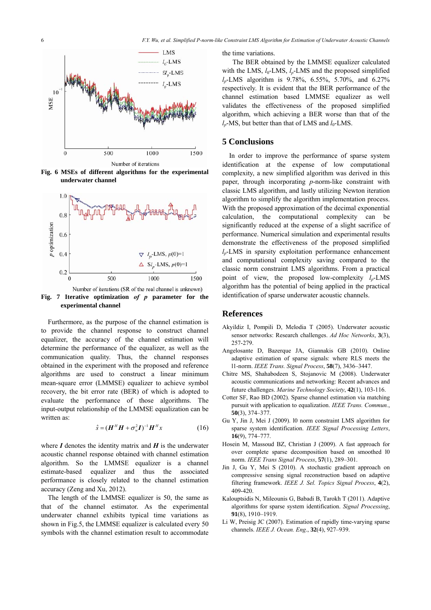

**Fig. 6 MSEs of different algorithms for the experimental underwater channel** 



**Fig. 7 Iterative optimization** *of p* **parameter for the experimental channel** 

Furthermore, as the purpose of the channel estimation is to provide the channel response to construct channel equalizer, the accuracy of the channel estimation will determine the performance of the equalizer, as well as the communication quality. Thus, the channel responses obtained in the experiment with the proposed and reference algorithms are used to construct a linear minimum mean-square error (LMMSE) equalizer to achieve symbol recovery, the bit error rate (BER) of which is adopted to evaluate the performance of those algorithms. The input-output relationship of the LMMSE equalization can be written as:

$$
\hat{s} = (\boldsymbol{H}^H \boldsymbol{H} + \sigma_w^2 \boldsymbol{I})^{-1} \boldsymbol{H}^H \boldsymbol{x} \tag{16}
$$

where  $I$  denotes the identity matrix and  $H$  is the underwater acoustic channel response obtained with channel estimation algorithm. So the LMMSE equalizer is a channel estimate-based equalizer and thus the associated performance is closely related to the channel estimation accuracy (Zeng and Xu, 2012).

The length of the LMMSE equalizer is 50, the same as that of the channel estimator. As the experimental underwater channel exhibits typical time variations as shown in Fig.5, the LMMSE equalizer is calculated every 50 symbols with the channel estimation result to accommodate

the time variations.

 The BER obtained by the LMMSE equalizer calculated with the LMS,  $l_0$ -LMS,  $l_n$ -LMS and the proposed simplified *lp*-LMS algorithm is 9.78%, 6.55%, 5.70%, and 6.27% respectively. It is evident that the BER performance of the channel estimation based LMMSE equalizer as well validates the effectiveness of the proposed simplified algorithm, which achieving a BER worse than that of the  $l_p$ -MS, but better than that of LMS and  $l_0$ -LMS.

#### **5 Conclusions**

In order to improve the performance of sparse system identification at the expense of low computational complexity, a new simplified algorithm was derived in this paper, through incorporating *p*-norm-like constraint with classic LMS algorithm, and lastly utilizing Newton iteration algorithm to simplify the algorithm implementation process. With the proposed approximation of the decimal exponential calculation, the computational complexity can be significantly reduced at the expense of a slight sacrifice of performance. Numerical simulation and experimental results demonstrate the effectiveness of the proposed simplified *lp*-LMS in sparsity exploitation performance enhancement and computational complexity saving compared to the classic norm constraint LMS algorithms. From a practical point of view, the proposed low-complexity  $l_p$ -LMS algorithm has the potential of being applied in the practical identification of sparse underwater acoustic channels.

## **References**

- Akyildiz I, Pompili D, Melodia T (2005). Underwater acoustic sensor networks: Research challenges. *Ad Hoc Networks*, **3**(3), 257-279.
- Angelosante D, Bazerque JA, Giannakis GB (2010). Online adaptive estimation of sparse signals: where RLS meets the l1-norm. *IEEE Trans. Signal Process*, **58**(7), 3436–3447.
- Chitre MS, Shahabodeen S, Stojanovic M (2008). Underwater acoustic communications and networking: Recent advances and future challenges. *Marine Technology Society*, **42**(1), 103-116.
- Cotter SF, Rao BD (2002). Sparse channel estimation via matching pursuit with application to equalization. *IEEE Trans. Commun.*, **50**(3), 374–377.
- Gu Y, Jin J, Mei J (2009). l0 norm constraint LMS algorithm for sparse system identification. *IEEE Signal Processing Letters*, **16**(9), 774–777.
- Hosein M, Massoud BZ, Christian J (2009). A fast approach for over complete sparse decomposition based on smoothed l0 norm. *IEEE Trans Signal Process*, **57**(1), 289–301.
- Jin J, Gu Y, Mei S (2010). A stochastic gradient approach on compressive sensing signal reconstruction based on adaptive filtering framework. *IEEE J. Sel. Topics Signal Process*, **4**(2), 409-420.
- Kalouptsidis N, Mileounis G, Babadi B, Tarokh T (2011). Adaptive algorithms for sparse system identification. *Signal Processing*, **91**(8), 1910–1919.
- Li W, Preisig JC (2007). Estimation of rapidly time-varying sparse channels. *IEEE J. Ocean. Eng*., **32**(4), 927–939.